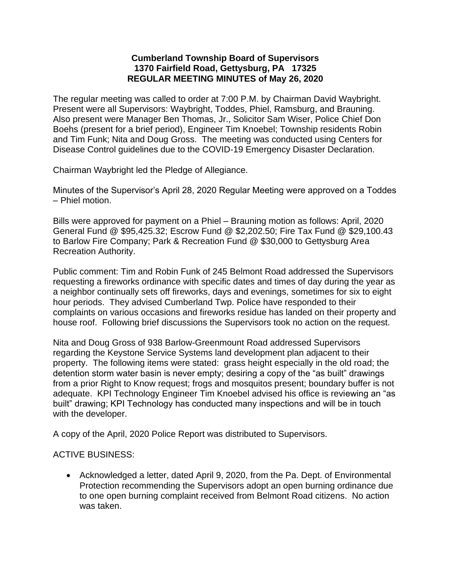## **Cumberland Township Board of Supervisors 1370 Fairfield Road, Gettysburg, PA 17325 REGULAR MEETING MINUTES of May 26, 2020**

The regular meeting was called to order at 7:00 P.M. by Chairman David Waybright. Present were all Supervisors: Waybright, Toddes, Phiel, Ramsburg, and Brauning. Also present were Manager Ben Thomas, Jr., Solicitor Sam Wiser, Police Chief Don Boehs (present for a brief period), Engineer Tim Knoebel; Township residents Robin and Tim Funk; Nita and Doug Gross. The meeting was conducted using Centers for Disease Control guidelines due to the COVID-19 Emergency Disaster Declaration.

Chairman Waybright led the Pledge of Allegiance.

Minutes of the Supervisor's April 28, 2020 Regular Meeting were approved on a Toddes – Phiel motion.

Bills were approved for payment on a Phiel – Brauning motion as follows: April, 2020 General Fund @ \$95,425.32; Escrow Fund @ \$2,202.50; Fire Tax Fund @ \$29,100.43 to Barlow Fire Company; Park & Recreation Fund @ \$30,000 to Gettysburg Area Recreation Authority.

Public comment: Tim and Robin Funk of 245 Belmont Road addressed the Supervisors requesting a fireworks ordinance with specific dates and times of day during the year as a neighbor continually sets off fireworks, days and evenings, sometimes for six to eight hour periods. They advised Cumberland Twp. Police have responded to their complaints on various occasions and fireworks residue has landed on their property and house roof. Following brief discussions the Supervisors took no action on the request.

Nita and Doug Gross of 938 Barlow-Greenmount Road addressed Supervisors regarding the Keystone Service Systems land development plan adjacent to their property. The following items were stated: grass height especially in the old road; the detention storm water basin is never empty; desiring a copy of the "as built" drawings from a prior Right to Know request; frogs and mosquitos present; boundary buffer is not adequate. KPI Technology Engineer Tim Knoebel advised his office is reviewing an "as built" drawing; KPI Technology has conducted many inspections and will be in touch with the developer.

A copy of the April, 2020 Police Report was distributed to Supervisors.

## ACTIVE BUSINESS:

• Acknowledged a letter, dated April 9, 2020, from the Pa. Dept. of Environmental Protection recommending the Supervisors adopt an open burning ordinance due to one open burning complaint received from Belmont Road citizens. No action was taken.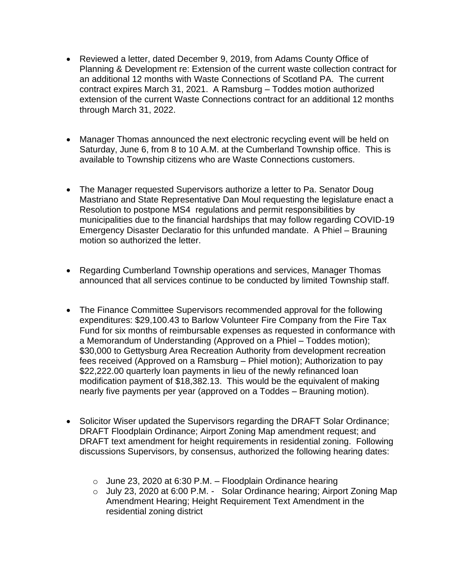- Reviewed a letter, dated December 9, 2019, from Adams County Office of Planning & Development re: Extension of the current waste collection contract for an additional 12 months with Waste Connections of Scotland PA. The current contract expires March 31, 2021. A Ramsburg – Toddes motion authorized extension of the current Waste Connections contract for an additional 12 months through March 31, 2022.
- Manager Thomas announced the next electronic recycling event will be held on Saturday, June 6, from 8 to 10 A.M. at the Cumberland Township office. This is available to Township citizens who are Waste Connections customers.
- The Manager requested Supervisors authorize a letter to Pa. Senator Doug Mastriano and State Representative Dan Moul requesting the legislature enact a Resolution to postpone MS4 regulations and permit responsibilities by municipalities due to the financial hardships that may follow regarding COVID-19 Emergency Disaster Declaratio for this unfunded mandate. A Phiel – Brauning motion so authorized the letter.
- Regarding Cumberland Township operations and services, Manager Thomas announced that all services continue to be conducted by limited Township staff.
- The Finance Committee Supervisors recommended approval for the following expenditures: \$29,100.43 to Barlow Volunteer Fire Company from the Fire Tax Fund for six months of reimbursable expenses as requested in conformance with a Memorandum of Understanding (Approved on a Phiel – Toddes motion); \$30,000 to Gettysburg Area Recreation Authority from development recreation fees received (Approved on a Ramsburg – Phiel motion); Authorization to pay \$22,222.00 quarterly loan payments in lieu of the newly refinanced loan modification payment of \$18,382.13. This would be the equivalent of making nearly five payments per year (approved on a Toddes – Brauning motion).
- Solicitor Wiser updated the Supervisors regarding the DRAFT Solar Ordinance; DRAFT Floodplain Ordinance; Airport Zoning Map amendment request; and DRAFT text amendment for height requirements in residential zoning. Following discussions Supervisors, by consensus, authorized the following hearing dates:
	- $\circ$  June 23, 2020 at 6:30 P.M. Floodplain Ordinance hearing
	- o July 23, 2020 at 6:00 P.M. Solar Ordinance hearing; Airport Zoning Map Amendment Hearing; Height Requirement Text Amendment in the residential zoning district